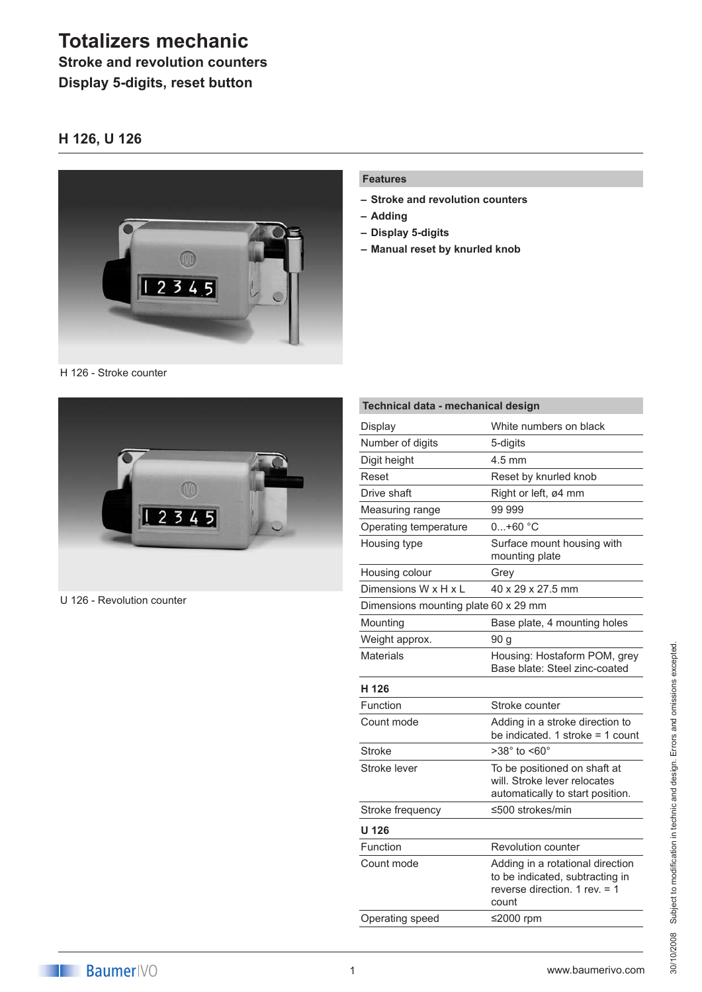# **Totalizers mechanic**

**Stroke and revolution counters Display 5-digits, reset button**

## **H 126, U 126**



#### **Features**

- **– Stroke and revolution counters**
- **– Adding**
- **– Display 5-digits**
- **– Manual reset by knurled knob**

H 126 - Stroke counter



U 126 - Revolution counter

| Technical data - mechanical design   |                                                                                                               |
|--------------------------------------|---------------------------------------------------------------------------------------------------------------|
| Display                              | White numbers on black                                                                                        |
| Number of digits                     | 5-digits                                                                                                      |
| Digit height                         | $4.5 \text{ mm}$                                                                                              |
| Reset                                | Reset by knurled knob                                                                                         |
| Drive shaft                          | Right or left, ø4 mm                                                                                          |
| Measuring range                      | 99 999                                                                                                        |
| Operating temperature                | $0+60$ °C                                                                                                     |
| Housing type                         | Surface mount housing with<br>mounting plate                                                                  |
| Housing colour                       | Grey                                                                                                          |
| Dimensions W x H x L                 | 40 x 29 x 27.5 mm                                                                                             |
| Dimensions mounting plate 60 x 29 mm |                                                                                                               |
| Mounting                             | Base plate, 4 mounting holes                                                                                  |
| Weight approx.                       | 90 <sub>q</sub>                                                                                               |
| <b>Materials</b>                     | Housing: Hostaform POM, grey<br>Base blate: Steel zinc-coated                                                 |
| H 126                                |                                                                                                               |
| Function                             | Stroke counter                                                                                                |
| Count mode                           | Adding in a stroke direction to<br>be indicated. 1 stroke $=$ 1 count                                         |
| Stroke                               | $>38^\circ$ to <60 $^\circ$                                                                                   |
| Stroke lever                         | To be positioned on shaft at<br>will. Stroke lever relocates<br>automatically to start position.              |
| Stroke frequency                     | ≤500 strokes/min                                                                                              |
| U 126                                |                                                                                                               |
| Function                             | Revolution counter                                                                                            |
| Count mode                           | Adding in a rotational direction<br>to be indicated, subtracting in<br>reverse direction. 1 rev. = 1<br>count |
| Operating speed                      | ≤2000 rpm                                                                                                     |

30/10/2008 Subject to modification in technic and design. Errors and omissions excepted. Subject to modification in technic and design. Errors and omissions excepted. 30/10/2008